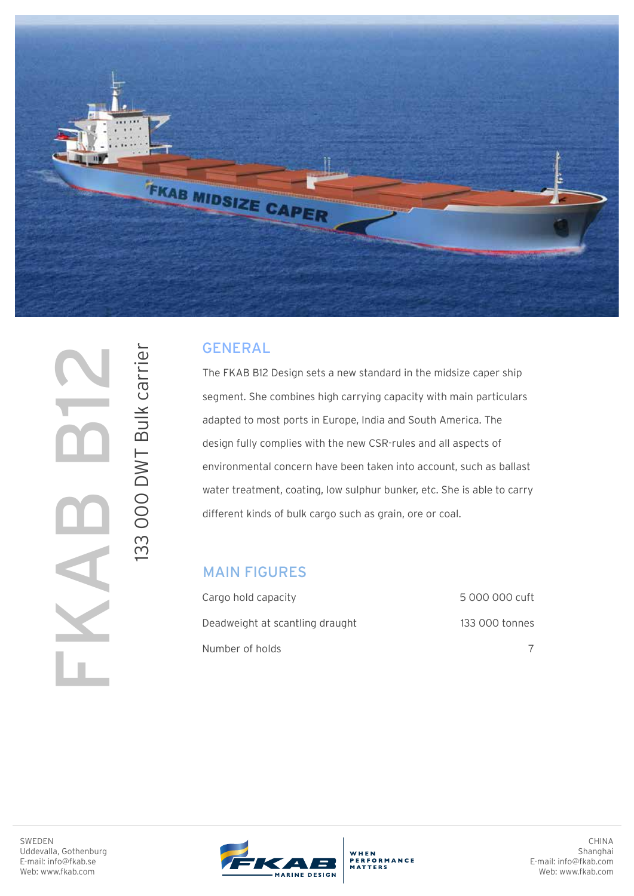

## GENERAL

The FKAB B12 Design sets a new standard in the midsize caper ship segment. She combines high carrying capacity with main particulars adapted to most ports in Europe, India and South America. The design fully complies with the new CSR-rules and all aspects of environmental concern have been taken into account, such as ballast water treatment, coating, low sulphur bunker, etc. She is able to carry different kinds of bulk cargo such as grain, ore or coal.

## MAIN FIGURES

| Cargo hold capacity             | 5 000 000 cuft |
|---------------------------------|----------------|
| Deadweight at scantling draught | 133 000 tonnes |
| Number of holds                 |                |

SWEDEN Uddevalla, Gothenburg E-mail: info@fkab.se

FKAB B12

133 000 DWT Bulk carrier

133 000 DWT Bulk carrier

Web: www.fkab.com